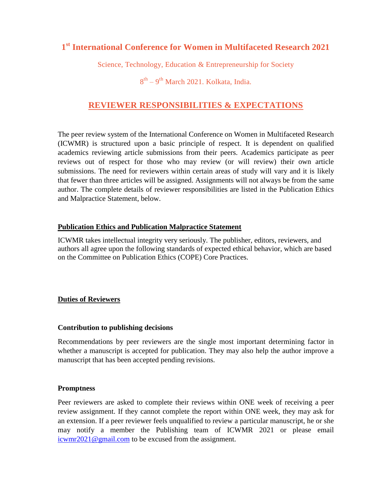# **1 st [International Conference for Women in Multifaceted Research 2021](http://icwmr.in/)**

Science, Technology, Education & Entrepreneurship for Society

## 8<sup>th</sup> – 9<sup>th</sup> March 2021. Kolkata, India.

## **REVIEWER RESPONSIBILITIES & EXPECTATIONS**

The peer review system of the International Conference on Women in Multifaceted Research (ICWMR) is structured upon a basic principle of respect. It is dependent on qualified academics reviewing article submissions from their peers. Academics participate as peer reviews out of respect for those who may review (or will review) their own article submissions. The need for reviewers within certain areas of study will vary and it is likely that fewer than three articles will be assigned. Assignments will not always be from the same author. The complete details of reviewer responsibilities are listed in the Publication Ethics and Malpractice Statement, below.

## **Publication Ethics and Publication Malpractice Statement**

ICWMR takes intellectual integrity very seriously. The publisher, editors, reviewers, and authors all agree upon the following standards of expected ethical behavior, which are based on the Committee on Publication Ethics (COPE) Core Practices.

## **Duties of Reviewers**

#### **Contribution to publishing decisions**

Recommendations by peer reviewers are the single most important determining factor in whether a manuscript is accepted for publication. They may also help the author improve a manuscript that has been accepted pending revisions.

#### **Promptness**

Peer reviewers are asked to complete their reviews within ONE week of receiving a peer review assignment. If they cannot complete the report within ONE week, they may ask for an extension. If a peer reviewer feels unqualified to review a particular manuscript, he or she may notify a member the Publishing team of ICWMR 2021 or please email [icwmr2021@gmail.com](mailto:icwmr2021@gmail.com) to be excused from the assignment.